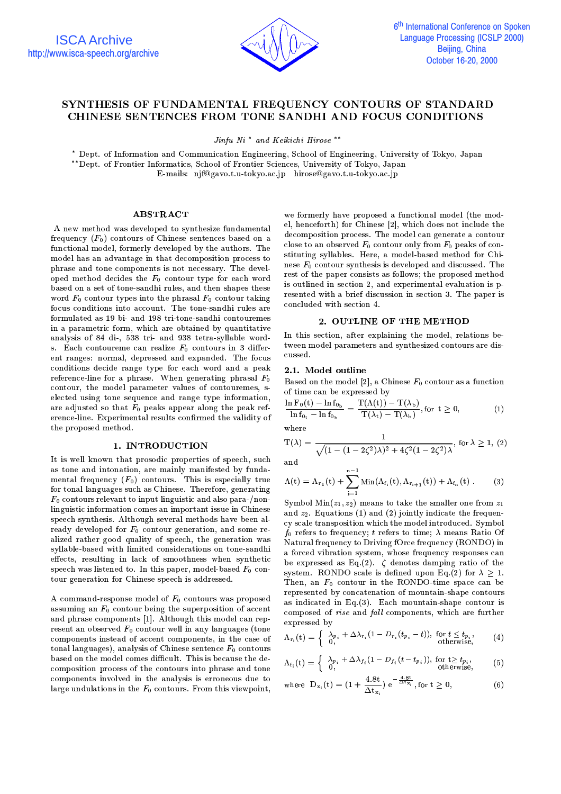

# SYNTHESIS OF FUNDAMENTAL FREQUENCY CONTOURS OF STANDARD CHINESE SENTENCES FROM TONE SANDHI AND FOCUS CONDITIONS

Jinfu Ni<sup>\*</sup> and Keikichi Hirose<sup>\*\*</sup>

\* Dept. of Information and Communication Engineering, School of Engineering, University of Tokyo, Japan \*\*Dept. of Frontier Informatics, School of Frontier Sciences, University of Tokyo, Japan E-mails: njf@gavo.t.u-tokyo.ac.jp hirose@gavo.t.u-tokyo.ac.jp

### **ABSTRACT**

A new method was developed to synthesize fundamental frequency  $(F_0)$  contours of Chinese sentences based on a functional model, formerly developed by the authors. The model has an advantage in that decomposition process to phrase and tone components is not necessary. The developed method decides the  $F_0$  contour type for each word based on a set of tone-sandhi rules, and then shapes these word  $F_0$  contour types into the phrasal  $F_0$  contour taking focus conditions into account. The tone-sandhi rules are formulated as 19 bi- and 198 tri-tone-sandhi contouremes in a parametric form, which are obtained by quantitative analysis of 84 di-, 538 tri- and 938 tetra-syllable words. Each contoureme can realize  $F_0$  contours in 3 different ranges: normal, depressed and expanded. The focus conditions decide range type for each word and a peak reference-line for a phrase. When generating phrasal  $F_0$ contour, the model parameter values of contouremes, selected using tone sequence and range type information, are adjusted so that  $F_0$  peaks appear along the peak reference-line. Experimental results confirmed the validity of the proposed method.

## 1. INTRODUCTION

It is well known that prosodic properties of speech, such as tone and intonation, are mainly manifested by fundamental frequency  $(F_0)$  contours. This is especially true for tonal languages such as Chinese. Therefore, generating  $F_0$  contours relevant to input linguistic and also para-/nonlinguistic information comes an important issue in Chinese speech synthesis. Although several methods have been already developed for  $F_0$  contour generation, and some realized rather good quality of speech, the generation was syllable-based with limited considerations on tone-sandhi effects, resulting in lack of smoothness when synthetic speech was listened to. In this paper, model-based  $F_0$  contour generation for Chinese speech is addressed.

A command-response model of  $F_0$  contours was proposed assuming an  $F_0$  contour being the superposition of accent and phrase components [1]. Although this model can represent an observed  $F_0$  contour well in any languages (tone components instead of accent components, in the case of tonal languages), analysis of Chinese sentence  $F_0$  contours based on the model comes difficult. This is because the decomposition process of the contours into phrase and tone components involved in the analysis is erroneous due to large undulations in the  $F_0$  contours. From this viewpoint,

we formerly have proposed a functional model (the model, henceforth) for Chinese [2], which does not include the decomposition process. The model can generate a contour close to an observed  $F_0$  contour only from  $F_0$  peaks of constituting syllables. Here, a model-based method for Chinese  $F_0$  contour synthesis is developed and discussed. The rest of the paper consists as follows; the proposed method is outlined in section 2, and experimental evaluation is presented with a brief discussion in section 3. The paper is concluded with section 4.

# 2. OUTLINE OF THE METHOD

In this section, after explaining the model, relations between model parameters and synthesized contours are discussed.

# 2.1. Model outline

Based on the model [2], a Chinese  $F_0$  contour as a function of time can be expressed by

$$
\frac{\ln F_0(t) - \ln f_{0_b}}{\ln f_{0_t} - \ln f_{0_b}} = \frac{T(\Lambda(t)) - T(\lambda_b)}{T(\lambda_t) - T(\lambda_b)}, \text{for } t \ge 0,
$$
\n(1)

where

$$
T(\lambda) = \frac{1}{\sqrt{(1 - (1 - 2\zeta^2)\lambda)^2 + 4\zeta^2(1 - 2\zeta^2)\lambda}}, \text{ for } \lambda \ge 1, (2)
$$

and

$$
\Lambda(t) = \Lambda_{r_1}(t) + \sum_{i=1}^{n} \mathrm{Min}(\Lambda_{f_i}(t), \Lambda_{r_{i+1}}(t)) + \Lambda_{f_n}(t) . \tag{3}
$$

Symbol  $Min(z_1, z_2)$  means to take the smaller one from  $z_1$ and  $z_2$ . Equations (1) and (2) jointly indicate the frequency scale transposition which the model introduced. Symbol  $f_0$  refers to frequency; t refers to time;  $\lambda$  means Ratio Of Natural frequency to Driving fOrce frequency (RONDO) in a forced vibration system, whose frequency responses can be expressed as Eq. (2).  $\zeta$  denotes damping ratio of the system. RONDO scale is defined upon Eq.(2) for  $\lambda \geq 1$ . Then, an  $F_0$  contour in the RONDO-time space can be represented by concatenation of mountain-shape contours as indicated in Eq.  $(3)$ . Each mountain-shape contour is composed of rise and fall components, which are further expressed by

$$
\Lambda_{r_i}(t) = \begin{cases} \lambda_{p_i} + \Delta \lambda_{r_i} (1 - D_{r_i}(t_{p_i} - t)), & \text{for } t \le t_{p_i}, \\ 0, & \text{otherwise}, \end{cases}
$$
 (4)

$$
\Lambda_{f_i}(t) = \begin{cases} \lambda_{p_i} + \Delta \lambda_{f_i} (1 - D_{f_i}(t - t_{p_i})), & \text{for } t \ge t_{p_i}, \\ 0, & \text{otherwise}, \end{cases}
$$
 (5)

where 
$$
D_{x_i}(t) = (1 + \frac{4.8t}{\Delta t_{x_i}}) e^{-\frac{4.8t}{\Delta t_{x_i}}}
$$
, for  $t \ge 0$ , (6)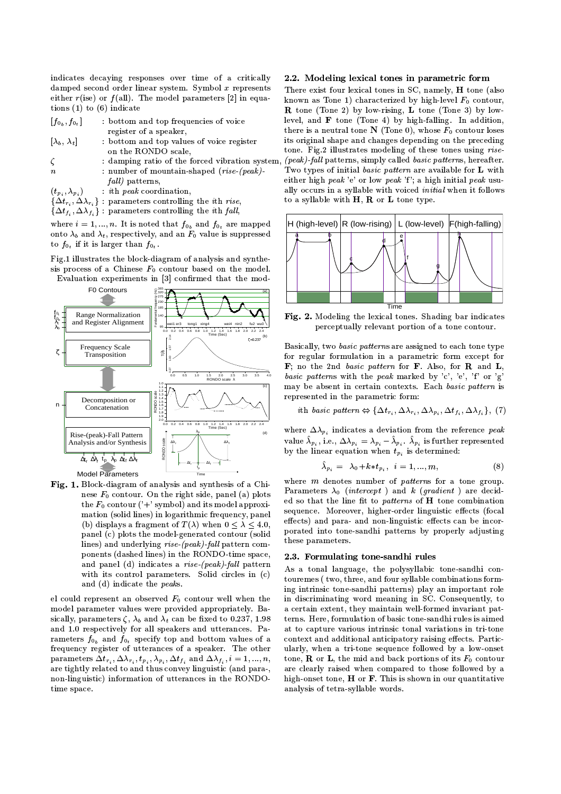indicates decaying responses over time of a critically damped second order linear system. Symbol  $x$  represents either  $r$ (ise) or  $f$ (all). The model parameters [2] in equations  $(1)$  to  $(6)$  indicate

| $\left[f_{0_b},f_{0_t}\right]$ | bottom and top frequencies of voice |
|--------------------------------|-------------------------------------|
|                                | register of a speaker,              |

- $[\lambda_b, \lambda_t]$ : bottom and top values of voice register on the RONDO scale,
- : damping ratio of the forced vibration system  $\zeta$ : number of mountain-shaped  $(rise-(peak))$  $\overline{\overline{n}}$  $fall$ ) patterns,

: ith peak coordination,  $(t_{p_i}, \lambda_{p_i})$ 

- $\{\Delta t_{r_i}, \Delta \lambda_{r_i}\}$ : parameters controlling the *i*th *rise*,
- $\{\Delta t_{f_i}, \Delta \lambda_{f_i}\}$ : parameters controlling the *i*th *fall*,

where  $i = 1, ..., n$ . It is noted that  $f_{0_h}$  and  $f_{0_t}$  are mapped onto  $\lambda_b$  and  $\lambda_t$ , respectively, and an  $F_0$  value is suppressed to  $f_{0_t}$  if it is larger than  $f_{0_t}$ .

Fig.1 illustrates the block-diagram of analysis and synthesis process of a Chinese  $F_0$  contour based on the model. Evaluation experiments in [3] confirmed that the mod-



Fig. 1. Block-diagram of analysis and synthesis of a Chinese  $F_0$  contour. On the right side, panel (a) plots the  $F_0$  contour ('+' symbol) and its model approximation (solid lines) in logarithmic frequency, panel (b) displays a fragment of  $T(\lambda)$  when  $0 \leq \lambda \leq 4.0$ , panel (c) plots the model-generated contour (solid lines) and underlying rise-(peak)-fall pattern components (dashed lines) in the RONDO-time space, and panel (d) indicates a rise-(peak)-fall pattern with its control parameters. Solid circles in (c) and (d) indicate the peaks.

el could represent an observed  $F_0$  contour well when the model parameter values were provided appropriately. Basically, parameters  $\zeta$ ,  $\lambda_b$  and  $\lambda_t$  can be fixed to 0.237, 1.98 and 1.0 respectively for all speakers and utterances. Parameters  $f_{0_h}$  and  $f_{0_t}$  specify top and bottom values of a frequency register of utterances of a speaker. The other parameters  $\Delta t_{r_i}, \Delta \lambda_{r_i}, t_{p_i}, \lambda_{p_i}, \Delta t_{f_i}$  and  $\Delta \lambda_{f_i}, i = 1, ..., n$ , are tightly related to and thus convey linguistic (and para-, non-linguistic) information of utterances in the RONDOtime space.

### 2.2. Modeling lexical tones in parametric form

There exist four lexical tones in SC, namely, **H** tone (also known as Tone 1) characterized by high-level  $F_0$  contour, **R** tone (Tone 2) by low-rising, **L** tone (Tone 3) by lowlevel, and  $\bf{F}$  tone (Tone 4) by high-falling. In addition, there is a neutral tone N (Tone 0), whose  $F_0$  contour loses its original shape and changes depending on the preceding tone. Fig.2 illustrates modeling of these tones using rise-(peak)-fall patterns, simply called basic patterns, hereafter. Two types of initial basic pattern are available for L with either high peak 'e' or low peak 'f'; a high initial peak usually occurs in a syllable with voiced *initial* when it follows to a syllable with  $H$ ,  $R$  or  $L$  tone type.



Fig. 2. Modeling the lexical tones. Shading bar indicates perceptually relevant portion of a tone contour.

Basically, two *basic patterns* are assigned to each tone type for regular formulation in a parametric form except for  $\mathbf{F}$ ; no the 2nd basic pattern for  $\mathbf{F}$ . Also, for  $\mathbf{R}$  and  $\mathbf{L}$ , basic patterns with the peak marked by 'c', 'e', 'f' or 'g' may be absent in certain contexts. Each basic pattern is represented in the parametric form:

$$
ith basic pattern \Leftrightarrow \{\Delta t_{r_i}, \Delta \lambda_{r_i}, \Delta \lambda_{p_i}, \Delta t_{f_i}, \Delta \lambda_{f_i}\}, (7)
$$

where  $\Delta \lambda_{p_i}$  indicates a deviation from the reference peak value  $\lambda_{p_i}$ , i.e.,  $\Delta \lambda_{p_i} = \lambda_{p_i} - \lambda_{p_i}$ .  $\lambda_{p_i}$  is further represented by the linear equation when  $t_{p_i}$  is determined:

$$
\hat{\lambda}_{p_i} = \lambda_0 + k * t_{p_i}, \quad i = 1, ..., m,
$$
\n(8)

where  $m$  denotes number of *patterns* for a tone group. Parameters  $\lambda_0$  (intercept) and k (gradient) are decided so that the line fit to patterns of H tone combination sequence. Moreover, higher-order linguistic effects (focal effects) and para- and non-linguistic effects can be incorporated into tone-sandhi patterns by properly adjusting these parameters.

## 2.3. Formulating tone-sandhi rules

As a tonal language, the polysyllabic tone-sandhi contouremes (two, three, and four syllable combinations forming intrinsic tone-sandhi patterns) play an important role in discriminating word meaning in SC. Consequently, to a certain extent, they maintain well-formed invariant patterns. Here, formulation of basic tone-sandhi rules is aimed at to capture various intrinsic tonal variations in tri-tone context and additional anticipatory raising effects. Particularly, when a tri-tone sequence followed by a low-onset tone, **R** or **L**, the mid and back portions of its  $F_0$  contour are clearly raised when compared to those followed by a high-onset tone, H or F. This is shown in our quantitative analysis of tetra-syllable words.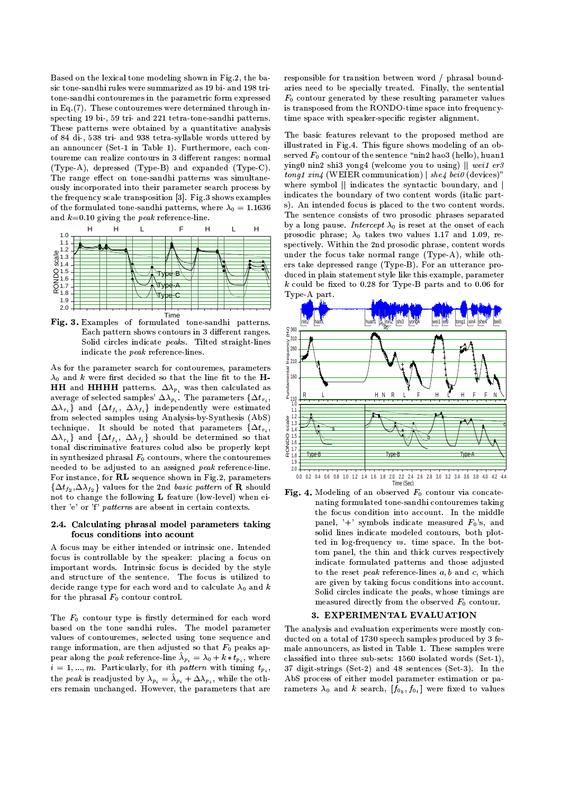Based on the lexical tone modeling shown in Fig.2, the basic tone-sandhi rules were summarized as 19 bi- and 198 tritone-sandhi contouremes in the parametric form expressed in Eq.  $(7)$ . These contouremes were determined through inspecting 19 bi-, 59 tri- and 221 tetra-tone-sandhi patterns. These patterns were obtained by a quantitative analysis of 84 di-, 538 tri- and 938 tetra-syllable words uttered by an announcer (Set-1 in Table 1). Furthermore, each contoureme can realize contours in 3 different ranges: normal (Type-A), depressed (Type-B) and expanded (Type-C). The range effect on tone-sandhi patterns was simultaneously incorporated into their parameter search process by the frequency scale transposition [3]. Fig.3 shows examples of the formulated tone-sandhi patterns, where  $\lambda_0 = 1.1636$ and  $k=0.10$  giving the *peak* reference-line.



Fig. 3. Examples of formulated tone-sandhi patterns. Each pattern shows contours in 3 different ranges. Solid circles indicate peaks. Tilted straight-lines indicate the *peak* reference-lines.

As for the parameter search for contouremes, parameters  $\lambda_0$  and k were first decided so that the line fit to the H-**HH** and **HHHH** patterns.  $\Delta \lambda_{p_i}$  was then calculated as average of selected samples'  $\Delta \lambda_{p_i}$ . The parameters  $\{\Delta t_{r_i},$  $\Delta \lambda_{r_i}$  and  $\{\Delta t_{f_i}, \ \Delta \lambda_{f_i}\}\$  independently were estimated from selected samples using Analysis-by-Synthesis (AbS) technique. It should be noted that parameters  $\{\Delta t_{r_i},\}$  $\Delta \lambda_{r_i}$  and  $\{\Delta t_{f_i}, \Delta \lambda_{f_i}\}\$  should be determined so that tonal discriminative features colud also be properly kept in synthesized phrasal  $F_0$  contours, where the contouremes needed to be adjusted to an assigned peak reference-line. For instance, for RL sequence shown in Fig.2, parameters  $\{\Delta t_{f_2}, \Delta \lambda_{f_2}\}\$ values for the 2nd basic pattern of **R** should not to change the following L feature (low-level) when either 'e' or 'f' patterns are absent in certain contexts.

## 2.4. Calculating phrasal model parameters taking focus conditions into acount

A focus may be either intended or intrinsic one. Intended focus is controllable by the speaker: placing a focus on important words. Intrinsic focus is decided by the style and structure of the sentence. The focus is utilized to decide range type for each word and to calculate  $\lambda_0$  and k for the phrasal  $F_0$  contour control.

The  $F_0$  contour type is firstly determined for each word based on the tone sandhi rules. The model parameter values of contouremes, selected using tone sequence and range information, are then adjusted so that  $F_0$  peaks appear along the *peak* reference-line  $\lambda_{p_i} = \lambda_0 + k * t_{p_i}$ , where  $i=1,...,m$ . Particularly, for ith pattern with timing  $t_{p_i}$ , the *peak* is readjusted by  $\lambda_{p_i} = \lambda_{p_i} + \Delta \lambda_{p_i}$ , while the others remain unchanged. However, the parameters that are responsible for transition between word / phrasal boundaries need to be specially treated. Finally, the sentential  $F_0$  contour generated by these resulting parameter values is transposed from the RONDO-time space into frequencytime space with speaker-specific register alignment.

The basic features relevant to the proposed method are illustrated in Fig.4. This figure shows modeling of an observed  $F_0$  contour of the sentence "nin2 hao3 (hello), huan1 ying0 nin2 shi3 yong4 (welcome you to using)  $||$  wei1 er3  $t$ onq1 xin4 (WEIER communication) | she4 bei0 (devices)" where symbol || indicates the syntactic boundary, and | indicates the boundary of two content words (italic parts). An intended focus is placed to the two content words. The sentence consists of two prosodic phrases separated by a long pause. Intercept  $\lambda_0$  is reset at the onset of each prosodic phrase;  $\lambda_0$  takes two values 1.17 and 1.09, respectively. Within the 2nd prosodic phrase, content words under the focus take normal range (Type-A), while others take depressed range (Type-B). For an utterance produced in plain statement style like this example, parameter  $k$  could be fixed to 0.28 for Type-B parts and to 0.06 for Type-A part.



Fig. 4. Modeling of an observed  $F_0$  contour via concatenating formulated tone-sandhi contouremes taking the focus condition into account. In the middle panel, '+' symbols indicate measured  $F_0$ 's, and solid lines indicate modeled contours, both plotted in log-frequency vs. time space. In the bottom panel, the thin and thick curves respectively indicate formulated patterns and those adjusted to the reset peak reference-lines  $a, b$  and  $c$ , which are given by taking focus conditions into account. Solid circles indicate the peaks, whose timings are measured directly from the observed  $F_0$  contour.

# 3. EXPERIMENTAL EVALUATION

The analysis and evaluation experiments were mostly conducted on a total of 1730 speech samples produced by 3 female announcers, as listed in Table 1. These samples were classified into three sub-sets: 1560 isolated words (Set-1). 37 digit-strings (Set-2) and 48 sentences (Set-3). In the AbS process of either model parameter estimation or parameters  $\lambda_0$  and k search,  $[f_{0_b}, f_{0_t}]$  were fixed to values